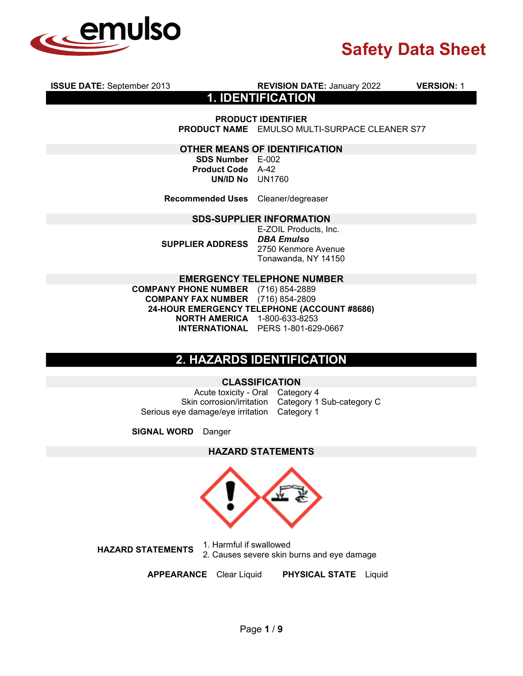

**ISSUE DATE:** September 2013 **REVISION DATE:** January 2022 **VERSION:** 1

**1. IDENTIFICATION**

**PRODUCT IDENTIFIER**

**PRODUCT NAME** EMULSO MULTI-SURPACE CLEANER S77

#### **OTHER MEANS OF IDENTIFICATION**

**SDS Number** E-002 **Product Code** A-42 **UN/ID No** UN1760

**Recommended Uses** Cleaner/degreaser

#### **SDS-SUPPLIER INFORMATION**

**SUPPLIER ADDRESS** E-ZOIL Products, Inc. *DBA Emulso*  2750 Kenmore Avenue Tonawanda, NY 14150

#### **EMERGENCY TELEPHONE NUMBER**

**COMPANY PHONE NUMBER** (716) 854-2889 **COMPANY FAX NUMBER** (716) 854-2809 **24-HOUR EMERGENCY TELEPHONE (ACCOUNT #8686) NORTH AMERICA** 1-800-633-8253 **INTERNATIONAL** PERS 1-801-629-0667

## **2. HAZARDS IDENTIFICATION**

#### **CLASSIFICATION**

Acute toxicity - Oral Category 4 Skin corrosion/irritation Category 1 Sub-category C Serious eye damage/eye irritation Category 1

**SIGNAL WORD** Danger

#### **HAZARD STATEMENTS**



**HAZARD STATEMENTS** 1. Harmful if swallowed 2. Causes severe skin burns and eye damage

**APPEARANCE** Clear Liquid **PHYSICAL STATE** Liquid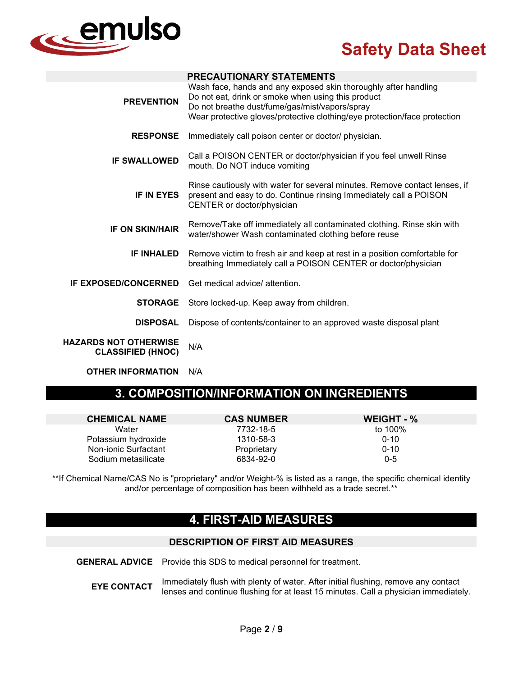

|                                                          | <b>PRECAUTIONARY STATEMENTS</b>                                                                                                                                                                                                                      |
|----------------------------------------------------------|------------------------------------------------------------------------------------------------------------------------------------------------------------------------------------------------------------------------------------------------------|
| <b>PREVENTION</b>                                        | Wash face, hands and any exposed skin thoroughly after handling<br>Do not eat, drink or smoke when using this product<br>Do not breathe dust/fume/gas/mist/vapors/spray<br>Wear protective gloves/protective clothing/eye protection/face protection |
| <b>RESPONSE</b>                                          | Immediately call poison center or doctor/ physician.                                                                                                                                                                                                 |
| <b>IF SWALLOWED</b>                                      | Call a POISON CENTER or doctor/physician if you feel unwell Rinse<br>mouth. Do NOT induce vomiting                                                                                                                                                   |
| <b>IF IN EYES</b>                                        | Rinse cautiously with water for several minutes. Remove contact lenses, if<br>present and easy to do. Continue rinsing Immediately call a POISON<br>CENTER or doctor/physician                                                                       |
| <b>IF ON SKIN/HAIR</b>                                   | Remove/Take off immediately all contaminated clothing. Rinse skin with<br>water/shower Wash contaminated clothing before reuse                                                                                                                       |
| <b>IF INHALED</b>                                        | Remove victim to fresh air and keep at rest in a position comfortable for<br>breathing Immediately call a POISON CENTER or doctor/physician                                                                                                          |
| <b>IF EXPOSED/CONCERNED</b>                              | Get medical advice/ attention.                                                                                                                                                                                                                       |
| <b>STORAGE</b>                                           | Store locked-up. Keep away from children.                                                                                                                                                                                                            |
| <b>DISPOSAL</b>                                          | Dispose of contents/container to an approved waste disposal plant                                                                                                                                                                                    |
| <b>HAZARDS NOT OTHERWISE</b><br><b>CLASSIFIED (HNOC)</b> | N/A                                                                                                                                                                                                                                                  |
| <b>OTHER INFORMATION</b>                                 | N/A                                                                                                                                                                                                                                                  |

## **3. COMPOSITION/INFORMATION ON INGREDIENTS**

| <b>CHEMICAL NAME</b> | <b>CAS NUMBER</b> | WEIGHT - % |
|----------------------|-------------------|------------|
| Water                | 7732-18-5         | to 100%    |
| Potassium hydroxide  | 1310-58-3         | $0 - 10$   |
| Non-ionic Surfactant | Proprietary       | $0 - 10$   |
| Sodium metasilicate  | 6834-92-0         | $0 - 5$    |

\*\*If Chemical Name/CAS No is "proprietary" and/or Weight-% is listed as a range, the specific chemical identity and/or percentage of composition has been withheld as a trade secret.\*\*

## **4. FIRST-AID MEASURES**

### **DESCRIPTION OF FIRST AID MEASURES**

**GENERAL ADVICE** Provide this SDS to medical personnel for treatment.

**EYE CONTACT** Immediately flush with plenty of water. After initial flushing, remove any contact lenses and continue flushing for at least 15 minutes. Call a physician immediately.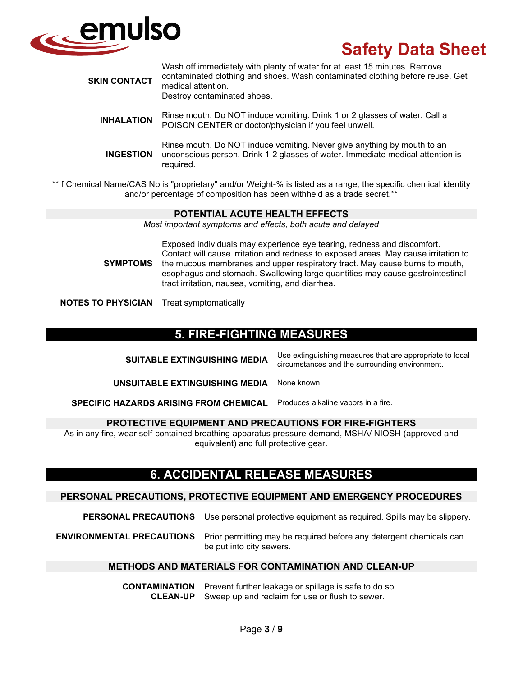

| <b>SKIN CONTACT</b> | Wash off immediately with plenty of water for at least 15 minutes. Remove<br>contaminated clothing and shoes. Wash contaminated clothing before reuse. Get<br>medical attention.<br>Destroy contaminated shoes. |
|---------------------|-----------------------------------------------------------------------------------------------------------------------------------------------------------------------------------------------------------------|
| <b>INHALATION</b>   | Rinse mouth. Do NOT induce vomiting. Drink 1 or 2 glasses of water. Call a<br>POISON CENTER or doctor/physician if you feel unwell.                                                                             |
| <b>INGESTION</b>    | Rinse mouth. Do NOT induce vomiting. Never give anything by mouth to an<br>unconscious person. Drink 1-2 glasses of water. Immediate medical attention is<br>required.                                          |

\*\*If Chemical Name/CAS No is "proprietary" and/or Weight-% is listed as a range, the specific chemical identity and/or percentage of composition has been withheld as a trade secret.\*\*

#### **POTENTIAL ACUTE HEALTH EFFECTS**

*Most important symptoms and effects, both acute and delayed*

**SYMPTOMS**

Exposed individuals may experience eye tearing, redness and discomfort. Contact will cause irritation and redness to exposed areas. May cause irritation to the mucous membranes and upper respiratory tract. May cause burns to mouth, esophagus and stomach. Swallowing large quantities may cause gastrointestinal tract irritation, nausea, vomiting, and diarrhea.

**NOTES TO PHYSICIAN** Treat symptomatically

## **5. FIRE-FIGHTING MEASURES**

| <b>SUITABLE EXTINGUISHING MEDIA</b>           | Use extinguishing measures that are appropriate to local<br>circumstances and the surrounding environment. |
|-----------------------------------------------|------------------------------------------------------------------------------------------------------------|
| UNSUITABLE EXTINGUISHING MEDIA                | None known                                                                                                 |
| <b>SPECIFIC HAZARDS ARISING FROM CHEMICAL</b> | Produces alkaline vapors in a fire.                                                                        |

#### **PROTECTIVE EQUIPMENT AND PRECAUTIONS FOR FIRE-FIGHTERS**

As in any fire, wear self-contained breathing apparatus pressure-demand, MSHA/ NIOSH (approved and equivalent) and full protective gear.

## **6. ACCIDENTAL RELEASE MEASURES**

#### **PERSONAL PRECAUTIONS, PROTECTIVE EQUIPMENT AND EMERGENCY PROCEDURES**

**PERSONAL PRECAUTIONS** Use personal protective equipment as required. Spills may be slippery.

**ENVIRONMENTAL PRECAUTIONS** Prior permitting may be required before any detergent chemicals can be put into city sewers.

#### **METHODS AND MATERIALS FOR CONTAMINATION AND CLEAN-UP**

**CONTAMINATION** Prevent further leakage or spillage is safe to do so **CLEAN-UP** Sweep up and reclaim for use or flush to sewer.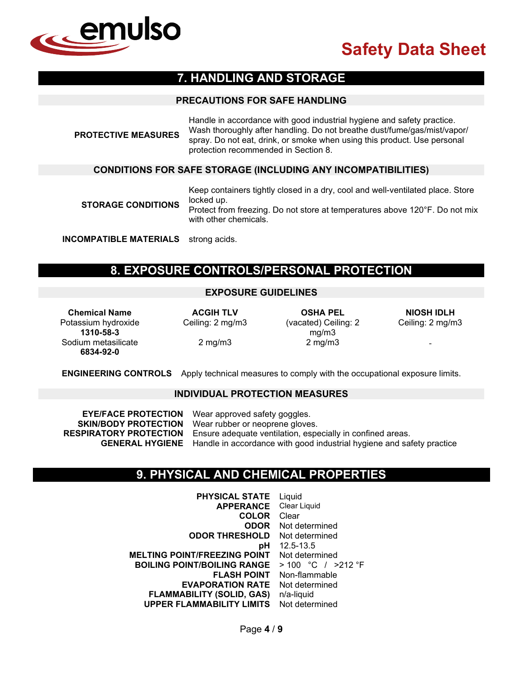

## **7. HANDLING AND STORAGE**

#### **PRECAUTIONS FOR SAFE HANDLING**

| <b>PROTECTIVE MEASURES</b> | Handle in accordance with good industrial hygiene and safety practice.<br>Wash thoroughly after handling. Do not breathe dust/fume/gas/mist/vapor/<br>spray. Do not eat, drink, or smoke when using this product. Use personal<br>protection recommended in Section 8. |
|----------------------------|------------------------------------------------------------------------------------------------------------------------------------------------------------------------------------------------------------------------------------------------------------------------|
|                            | <b>CONDITIONS FOR SAFE STORAGE (INCLUDING ANY INCOMPATIBILITIES)</b>                                                                                                                                                                                                   |
| <b>STORAGE CONDITIONS</b>  | Keep containers tightly closed in a dry, cool and well-ventilated place. Store<br>locked up.<br>Protect from freezing. Do not store at temperatures above 120°F. Do not mix<br>with other chemicals.                                                                   |

**INCOMPATIBLE MATERIALS** strong acids.

## **8. EXPOSURE CONTROLS/PERSONAL PROTECTION**

### **EXPOSURE GUIDELINES**

**Chemical Name ACGIH TLV OSHA PEL NIOSH IDLH** Potassium hydroxide **1310-58-3** Sodium metasilicate **6834-92-0** 

Ceiling: 2 mg/m3 (vacated) Ceiling: 2 mg/m3 2 mg/m3 2 mg/m3 -

Ceiling: 2 mg/m3

**ENGINEERING CONTROLS** Apply technical measures to comply with the occupational exposure limits.

#### **INDIVIDUAL PROTECTION MEASURES**

**EYE/FACE PROTECTION** Wear approved safety goggles. **SKIN/BODY PROTECTION** Wear rubber or neoprene gloves. **RESPIRATORY PROTECTION** Ensure adequate ventilation, especially in confined areas. **GENERAL HYGIENE** Handle in accordance with good industrial hygiene and safety practice

## **9. PHYSICAL AND CHEMICAL PROPERTIES**

**PHYSICAL STATE** Liquid<br>**APPERANCE** Clear Liquid **APPERANCE** Clear L<br>**COLOR** Clear **COLOR**<br>ODOR **Not determined**<br>Not determined **ODOR THRESHOLD pH** 12.5-13.5<br>**NT** Not determined **MELTING POINT/FREEZING POINT** Not determined<br>**BOILING POINT/BOILING RANGE** > 100 °C / >212 °F **BOILING POINT/BOILING RANGE** > 100 °C / ><br>**FLASH POINT** Non-flammable **FLASH POINT EVAPORATION RATE** Not determined **FLAMMABILITY (SOLID, GAS)** n/a-liquid **UPPER FLAMMABILITY LIMITS** Not determined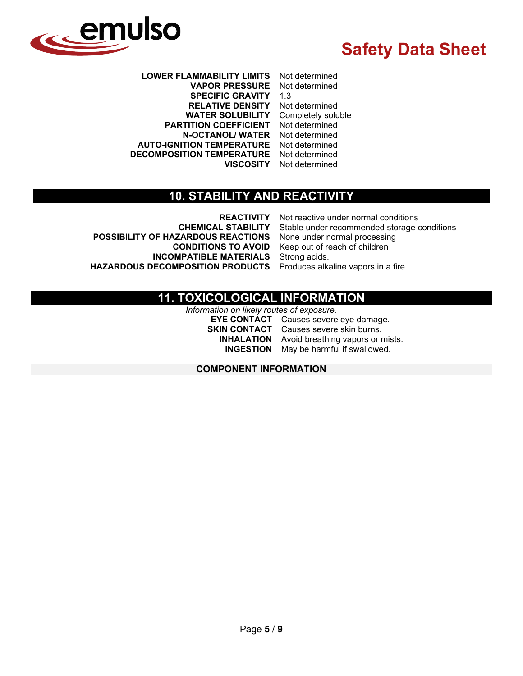

**LOWER FLAMMABILITY LIMITS** Not determined **VAPOR PRESSURE** Not SPECIFIC GRAVITY 1.3 **SPECIFIC GRAVITY RELATIVE DENSITY** Not determined<br>**WATER SOLUBILITY** Completely soluble **WATER SOLUBILITY** Completely solu<br> **FITION COEFFICIENT** Not determined **PARTITION COEFFICIENT N-OCTANOL/ WATER** Not determined **AUTO-IGNITION TEMPERATURE** Not determined **DECOMPOSITION TEMPERATURE VISCOSITY** Not determined

## **10. STABILITY AND REACTIVITY**

**POSSIBILITY OF HAZARDOUS REACTIONS HAZARDOUS DECOMPOSITION PRODUCTS** 

**REACTIVITY** Not reactive under normal conditions<br>CHEMICAL STABILITY Stable under recommended storage of Stable under recommended storage conditions<br>None under normal processing **CONDITIONS TO AVOID** Keep out of reach of children **INCOMPATIBLE MATERIALS** Strong acids.<br>**INCOMPOSITION PRODUCTS** Produces alkaline vapors in a fire.

## **11. TOXICOLOGICAL INFORMATION**

*Information on likely routes of exposure.*

**EYE CONTACT** Causes severe eye damage. **SKIN CONTACT** Causes severe skin burns. **INHALATION** Avoid breathing vapors or mists. **INGESTION** May be harmful if swallowed.

### **COMPONENT INFORMATION**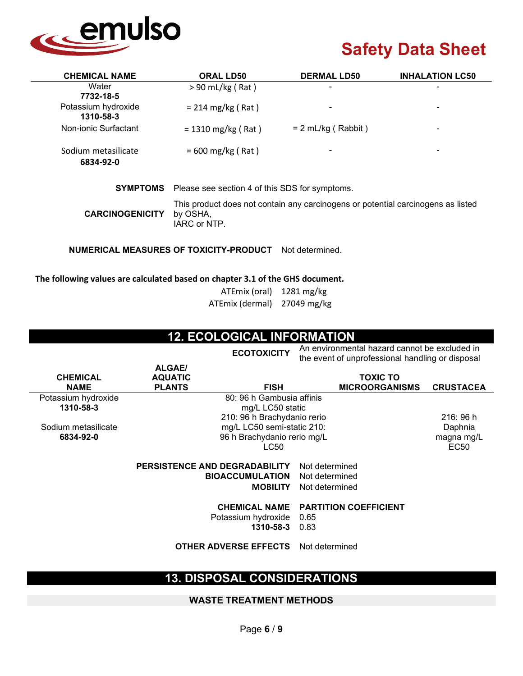

the event of unprofessional handling or disposal

| <b>CHEMICAL NAME</b>             | <b>ORAL LD50</b>                                                                                             | <b>DERMAL LD50</b>   | <b>INHALATION LC50</b> |  |
|----------------------------------|--------------------------------------------------------------------------------------------------------------|----------------------|------------------------|--|
| Water<br>7732-18-5               | $> 90$ mL/kg (Rat)                                                                                           |                      |                        |  |
| Potassium hydroxide<br>1310-58-3 | $= 214 \text{ mg/kg}$ (Rat)                                                                                  |                      |                        |  |
| Non-ionic Surfactant             | $= 1310 \text{ mg/kg}$ (Rat)                                                                                 | $= 2$ mL/kg (Rabbit) |                        |  |
| Sodium metasilicate<br>6834-92-0 | $= 600$ mg/kg (Rat)                                                                                          |                      |                        |  |
| <b>SYMPTOMS</b>                  | Please see section 4 of this SDS for symptoms.                                                               |                      |                        |  |
| <b>CARCINOGENICITY</b>           | This product does not contain any carcinogens or potential carcinogens as listed<br>by OSHA,<br>IARC or NTP. |                      |                        |  |

**NUMERICAL MEASURES OF TOXICITY-PRODUCT** Not determined.

#### **The following values are calculated based on chapter 3.1 of the GHS document.**

| ATEmix (oral)   | $1281 \text{ mg/kg}$ |
|-----------------|----------------------|
| ATEmix (dermal) | 27049 mg/kg          |

### **12. ECOLOGICAL INFORMATION**

**ECOTOXICITY** An environmental hazard cannot be excluded in

| <b>CHEMICAL</b>     | <b>ALGAE/</b><br><b>AQUATIC</b>      |                                                          | <b>TOXIC TO</b>                              |                       |
|---------------------|--------------------------------------|----------------------------------------------------------|----------------------------------------------|-----------------------|
| <b>NAME</b>         | <b>PLANTS</b>                        | <b>FISH</b>                                              | <b>MICROORGANISMS</b>                        | <b>CRUSTACEA</b>      |
| Potassium hydroxide |                                      | 80: 96 h Gambusia affinis                                |                                              |                       |
| 1310-58-3           |                                      | mg/L LC50 static                                         |                                              |                       |
|                     |                                      | 210: 96 h Brachydanio rerio                              |                                              | 216:96 h              |
| Sodium metasilicate |                                      | mg/L LC50 semi-static 210:                               |                                              | Daphnia<br>magna mg/L |
| 6834-92-0           |                                      | 96 h Brachydanio rerio mg/L<br>LC50                      |                                              |                       |
|                     | <b>PERSISTENCE AND DEGRADABILITY</b> |                                                          | Not determined                               |                       |
|                     |                                      | <b>BIOACCUMULATION</b>                                   | Not determined                               |                       |
|                     |                                      | <b>MOBILITY</b>                                          | Not determined                               |                       |
|                     |                                      | <b>CHEMICAL NAME</b><br>Potassium hydroxide<br>1310-58-3 | <b>PARTITION COEFFICIENT</b><br>0.65<br>0.83 |                       |
|                     |                                      | <b>OTHER ADVERSE EFFECTS</b>                             | Not determined                               |                       |

## **13. DISPOSAL CONSIDERATIONS**

#### **WASTE TREATMENT METHODS**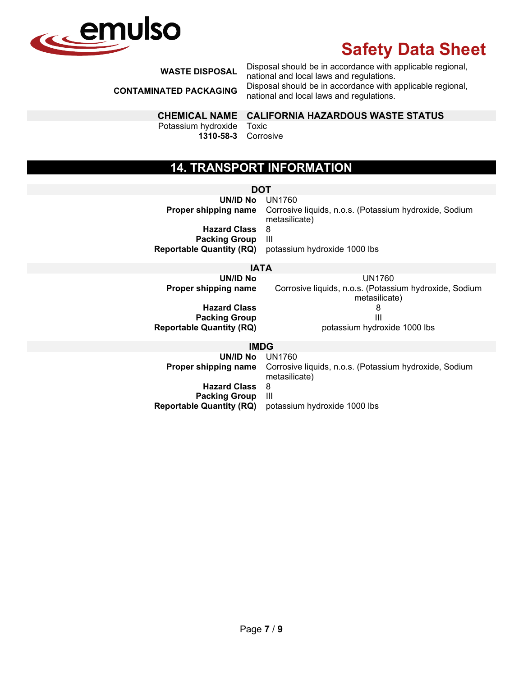

**WASTE DISPOSAL** Disposal should be in accordance with applicable regional,

national and local laws and regulations. **CONTAMINATED PACKAGING** Disposal should be in accordance with applicable regional, national and local laws and regulations.

### **CHEMICAL NAME CALIFORNIA HAZARDOUS WASTE STATUS**

Potassium hydroxide **1310-58-3**

Toxic Corrosive

## **14. TRANSPORT INFORMATION**

**DOT UN/ID No** UN1760 **Proper shipping name** Corrosive liquids, n.o.s. (Potassium hydroxide, Sodium metasilicate) **Hazard Class** 8 **Packing Group**<br>**Reportable Quantity (RQ)** potassium hydroxide 1000 lbs

### **IATA**

**UN/ID No**<br>**Proper shipping name** Corrosive liquids, n.o.s. (Potassi Corrosive liquids, n.o.s. (Potassium hydroxide, Sodium metasilicate) **Hazard Class** 8 **Packing Group**<br>**Reportable Quantity (RQ)** potassium hydroxide 1000 lbs

#### **IMDG**

| UNID No UN1760                  | <b>Proper shipping name</b> Corrosive liquids, n.o.s. (Potassium hydroxide, Sodium<br>metasilicate) |
|---------------------------------|-----------------------------------------------------------------------------------------------------|
| <b>Hazard Class</b>             | - 8                                                                                                 |
| <b>Packing Group</b>            | - 111                                                                                               |
| <b>Reportable Quantity (RQ)</b> | potassium hydroxide 1000 lbs                                                                        |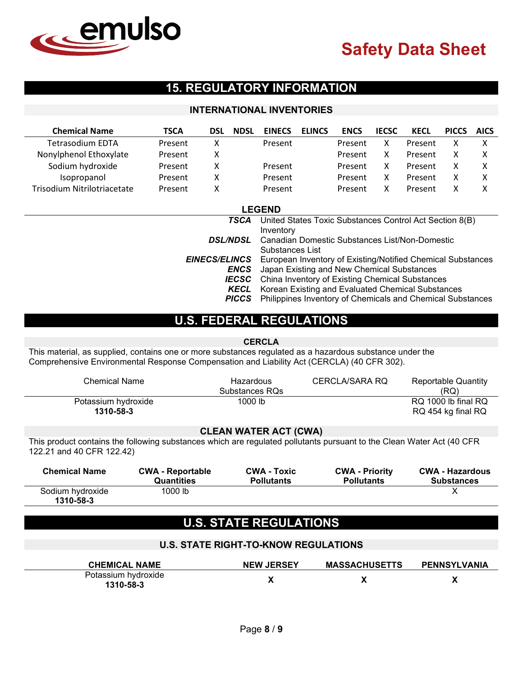

## **15. REGULATORY INFORMATION**

### **INTERNATIONAL INVENTORIES**

| <b>Chemical Name</b>        | <b>TSCA</b> | DSL | <b>NDSL</b> | <b>EINECS</b> | <b>ELINCS</b> | <b>ENCS</b> | <b>IECSC</b> | <b>KECL</b> | <b>PICCS</b> | <b>AICS</b> |
|-----------------------------|-------------|-----|-------------|---------------|---------------|-------------|--------------|-------------|--------------|-------------|
| <b>Tetrasodium EDTA</b>     | Present     |     |             | Present       |               | Present     |              | Present     |              |             |
| Nonylphenol Ethoxylate      | Present     |     |             |               |               | Present     |              | Present     |              |             |
| Sodium hydroxide            | Present     |     |             | Present       |               | Present     |              | Present     |              |             |
| Isopropanol                 | Present     |     |             | Present       |               | Present     |              | Present     |              |             |
| Trisodium Nitrilotriacetate | Present     |     |             | Present       |               | Present     |              | Present     |              |             |

|                 | <b>LEGEND</b>                                                                    |
|-----------------|----------------------------------------------------------------------------------|
| <b>TSCA</b>     | United States Toxic Substances Control Act Section 8(B)                          |
|                 | Inventory                                                                        |
| <b>DSL/NDSL</b> | Canadian Domestic Substances List/Non-Domestic                                   |
|                 | Substances List                                                                  |
|                 | <b>EINECS/ELINCS</b> European Inventory of Existing/Notified Chemical Substances |
| <b>ENCS</b>     | Japan Existing and New Chemical Substances                                       |
|                 | <b>IECSC</b> China Inventory of Existing Chemical Substances                     |
| <b>KECL</b>     | Korean Existing and Evaluated Chemical Substances                                |
| <b>PICCS</b>    | Philippines Inventory of Chemicals and Chemical Substances                       |

## **U.S. FEDERAL REGULATIONS**

#### **CERCLA**

This material, as supplied, contains one or more substances regulated as a hazardous substance under the Comprehensive Environmental Response Compensation and Liability Act (CERCLA) (40 CFR 302).

| Chemical Name                    | Hazardous<br>Substances RQs | CERCLA/SARA RQ | Reportable Quantity<br>(RQ)               |
|----------------------------------|-----------------------------|----------------|-------------------------------------------|
| Potassium hydroxide<br>1310-58-3 | 1000 lb                     |                | RQ 1000 lb final RQ<br>RQ 454 kg final RQ |

#### **CLEAN WATER ACT (CWA)**

This product contains the following substances which are regulated pollutants pursuant to the Clean Water Act (40 CFR 122.21 and 40 CFR 122.42)

| <b>Chemical Name</b>          | <b>CWA - Reportable</b> | <b>CWA - Toxic</b> | <b>CWA - Priority</b> | <b>CWA - Hazardous</b> |
|-------------------------------|-------------------------|--------------------|-----------------------|------------------------|
|                               | Quantities              | <b>Pollutants</b>  | <b>Pollutants</b>     | <b>Substances</b>      |
| Sodium hydroxide<br>1310-58-3 | $1000$ lb               |                    |                       |                        |

## **U.S. STATE REGULATIONS**

| <b>U.S. STATE RIGHT-TO-KNOW REGULATIONS</b> |                   |                      |              |  |  |  |
|---------------------------------------------|-------------------|----------------------|--------------|--|--|--|
| <b>CHEMICAL NAME</b>                        | <b>NEW JERSEY</b> | <b>MASSACHUSETTS</b> | PENNSYLVANIA |  |  |  |
| Potassium hydroxide<br>1310-58-3            |                   |                      |              |  |  |  |